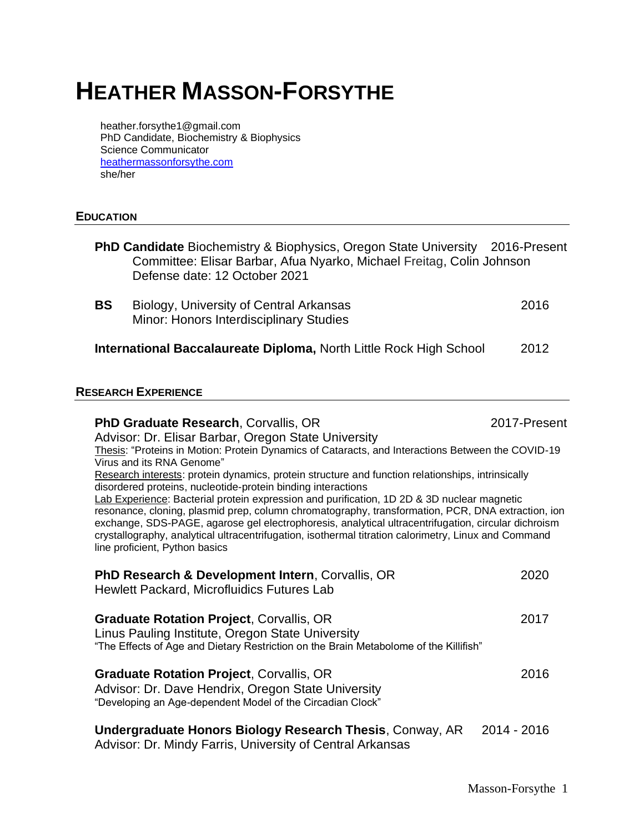# **HEATHER MASSON-FORSYTHE**

heather.forsythe1@gmail.com PhD Candidate, Biochemistry & Biophysics Science Communicator [heathermassonforsythe.com](https://www.heathermassonforsythe.com/) she/her

### **EDUCATION**

- **PhD Candidate** Biochemistry & Biophysics, Oregon State University 2016-Present Committee: Elisar Barbar, Afua Nyarko, Michael Freitag, Colin Johnson Defense date: 12 October 2021
- **BS** Biology, University of Central Arkansas 2016 Minor: Honors Interdisciplinary Studies

**International Baccalaureate Diploma,** North Little Rock High School 2012

#### **RESEARCH EXPERIENCE**

| <b>PhD Graduate Research, Corvallis, OR</b>                                                                                            | 2017-Present |
|----------------------------------------------------------------------------------------------------------------------------------------|--------------|
| Advisor: Dr. Elisar Barbar, Oregon State University                                                                                    |              |
| Thesis: "Proteins in Motion: Protein Dynamics of Cataracts, and Interactions Between the COVID-19                                      |              |
| Virus and its RNA Genome"                                                                                                              |              |
| Research interests: protein dynamics, protein structure and function relationships, intrinsically                                      |              |
| disordered proteins, nucleotide-protein binding interactions                                                                           |              |
| Lab Experience: Bacterial protein expression and purification, 1D 2D & 3D nuclear magnetic                                             |              |
| resonance, cloning, plasmid prep, column chromatography, transformation, PCR, DNA extraction, ion                                      |              |
| exchange, SDS-PAGE, agarose gel electrophoresis, analytical ultracentrifugation, circular dichroism                                    |              |
| crystallography, analytical ultracentrifugation, isothermal titration calorimetry, Linux and Command<br>line proficient, Python basics |              |
|                                                                                                                                        |              |
| <b>PhD Research &amp; Development Intern, Corvallis, OR</b>                                                                            | 2020         |
|                                                                                                                                        |              |
| Hewlett Packard, Microfluidics Futures Lab                                                                                             |              |
|                                                                                                                                        |              |
| <b>Graduate Rotation Project, Corvallis, OR</b>                                                                                        | 2017         |
| Linus Pauling Institute, Oregon State University                                                                                       |              |
| "The Effects of Age and Dietary Restriction on the Brain Metabolome of the Killifish"                                                  |              |
|                                                                                                                                        |              |
| <b>Graduate Rotation Project, Corvallis, OR</b>                                                                                        | 2016         |
| Advisor: Dr. Dave Hendrix, Oregon State University                                                                                     |              |
| "Developing an Age-dependent Model of the Circadian Clock"                                                                             |              |
|                                                                                                                                        |              |
| <b>Undergraduate Honors Biology Research Thesis, Conway, AR</b>                                                                        | 2014 - 2016  |
| Advisor: Dr. Mindy Farris, University of Central Arkansas                                                                              |              |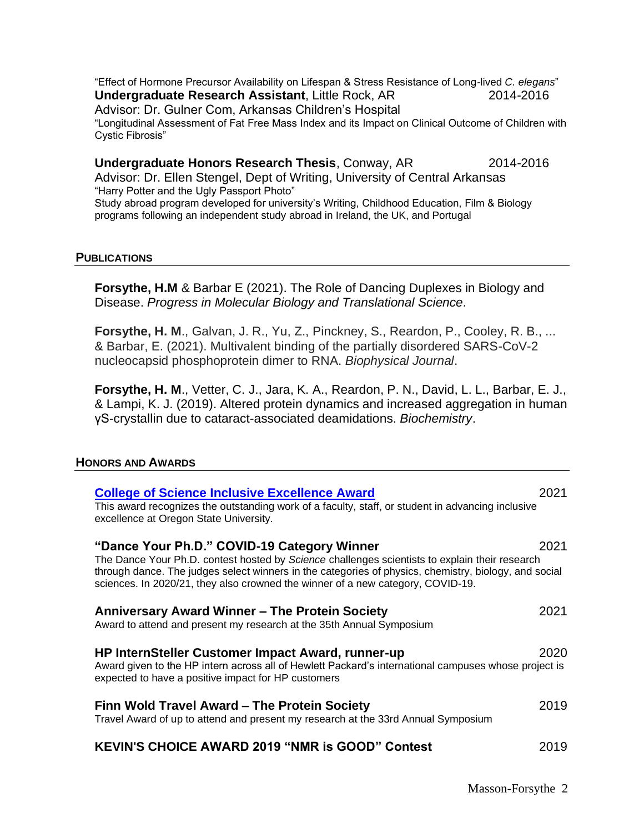"Effect of Hormone Precursor Availability on Lifespan & Stress Resistance of Long-lived *C. elegans*" **Undergraduate Research Assistant**, Little Rock, AR 2014-2016 Advisor: Dr. Gulner Com, Arkansas Children's Hospital "Longitudinal Assessment of Fat Free Mass Index and its Impact on Clinical Outcome of Children with Cystic Fibrosis"

#### **Undergraduate Honors Research Thesis**, Conway, AR 2014-2016

Advisor: Dr. Ellen Stengel, Dept of Writing, University of Central Arkansas "Harry Potter and the Ugly Passport Photo" Study abroad program developed for university's Writing, Childhood Education, Film & Biology programs following an independent study abroad in Ireland, the UK, and Portugal

#### **PUBLICATIONS**

**Forsythe, H.M** & Barbar E (2021). The Role of Dancing Duplexes in Biology and Disease. *Progress in Molecular Biology and Translational Science.* 

**Forsythe, H. M**., Galvan, J. R., Yu, Z., Pinckney, S., Reardon, P., Cooley, R. B., ... & Barbar, E. (2021). Multivalent binding of the partially disordered SARS-CoV-2 nucleocapsid phosphoprotein dimer to RNA. *Biophysical Journal*.

**Forsythe, H. M**., Vetter, C. J., Jara, K. A., Reardon, P. N., David, L. L., Barbar, E. J., & Lampi, K. J. (2019). Altered protein dynamics and increased aggregation in human γS-crystallin due to cataract-associated deamidations. *Biochemistry*.

### **HONORS AND AWARDS**

| <b>College of Science Inclusive Excellence Award</b>                                                                                                                                                                                                                                       | 2021 |
|--------------------------------------------------------------------------------------------------------------------------------------------------------------------------------------------------------------------------------------------------------------------------------------------|------|
| This award recognizes the outstanding work of a faculty, staff, or student in advancing inclusive<br>excellence at Oregon State University.                                                                                                                                                |      |
| "Dance Your Ph.D." COVID-19 Category Winner                                                                                                                                                                                                                                                | 2021 |
| The Dance Your Ph.D. contest hosted by Science challenges scientists to explain their research<br>through dance. The judges select winners in the categories of physics, chemistry, biology, and social<br>sciences. In 2020/21, they also crowned the winner of a new category, COVID-19. |      |
| Anniversary Award Winner – The Protein Society                                                                                                                                                                                                                                             | 2021 |
| Award to attend and present my research at the 35th Annual Symposium                                                                                                                                                                                                                       |      |
| HP InternSteller Customer Impact Award, runner-up                                                                                                                                                                                                                                          | 2020 |
| Award given to the HP intern across all of Hewlett Packard's international campuses whose project is<br>expected to have a positive impact for HP customers                                                                                                                                |      |
| Finn Wold Travel Award - The Protein Society                                                                                                                                                                                                                                               | 2019 |
| Travel Award of up to attend and present my research at the 33rd Annual Symposium                                                                                                                                                                                                          |      |
| <b>KEVIN'S CHOICE AWARD 2019 "NMR is GOOD" Contest</b>                                                                                                                                                                                                                                     | 2019 |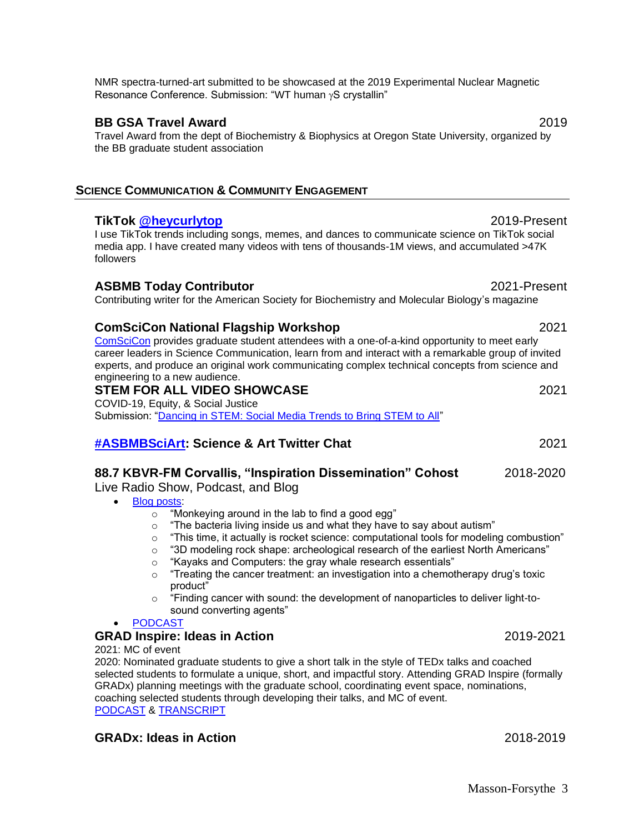NMR spectra-turned-art submitted to be showcased at the 2019 Experimental Nuclear Magnetic Resonance Conference. Submission: "WT human  $\gamma$ S crystallin"

### **BB GSA Travel Award** 2019

Travel Award from the dept of Biochemistry & Biophysics at Oregon State University, organized by the BB graduate student association

# **SCIENCE COMMUNICATION & COMMUNITY ENGAGEMENT**

# **TikTok [@heycurlytop](https://www.tiktok.com/@heycurlytop?lang=en)** 2019-Present

I use TikTok trends including songs, memes, and dances to communicate science on TikTok social media app. I have created many videos with tens of thousands-1M views, and accumulated >47K followers

# **ASBMB Today Contributor** 2021-Present

Contributing writer for the American Society for Biochemistry and Molecular Biology's magazine

# **ComSciCon National Flagship Workshop** 2021

[ComSciCon](https://comscicon.com/comscicon-flagship-2021) provides graduate student attendees with a one-of-a-kind opportunity to meet early career leaders in Science Communication, learn from and interact with a remarkable group of invited experts, and produce an original work communicating complex technical concepts from science and engineering to a new audience.

# **STEM FOR ALL VIDEO SHOWCASE** 2021

COVID-19, Equity, & Social Justice Submission: ["Dancing in STEM: Social Media Trends to Bring STEM to All"](http://videohall.com/p/2133)

# **[#ASBMBSciArt:](https://twitter.com/i/events/1403079420462645251) Science & Art Twitter Chat** 2021

# **88.7 KBVR-FM Corvallis, "Inspiration Dissemination" Cohost** 2018-2020

Live Radio Show, Podcast, and Blog

- [Blog posts:](http://blogs.oregonstate.edu/inspiration/author/forsythh/)
	- o "Monkeying around in the lab to find a good egg"
	- o "The bacteria living inside us and what they have to say about autism"
	- o "This time, it actually is rocket science: computational tools for modeling combustion"
	- $\circ$  "3D modeling rock shape: archeological research of the earliest North Americans"
	- o "Kayaks and Computers: the gray whale research essentials"
	- $\circ$  "Treating the cancer treatment: an investigation into a chemotherapy drug's toxic product"
	- $\circ$  "Finding cancer with sound: the development of nanoparticles to deliver light-tosound converting agents"

### • [PODCAST](https://podcasts.apple.com/us/podcast/inspiration-dissemination/id1337404264?mt=2)

# **GRAD Inspire: Ideas in Action** 2019-2021

2021: MC of event

2020: Nominated graduate students to give a short talk in the style of TEDx talks and coached selected students to formulate a unique, short, and impactful story. Attending GRAD Inspire (formally GRADx) planning meetings with the graduate school, coordinating event space, nominations, coaching selected students through developing their talks, and MC of event. [PODCAST](https://podcasts.apple.com/us/podcast/grad-inspire-2020/id1337404264?i=1000468128032) & [TRANSCRIPT](https://blogs.oregonstate.edu/inspiration/2020/04/18/grad-inspire-2020/)

# **GRADx: Ideas in Action** 2018-2019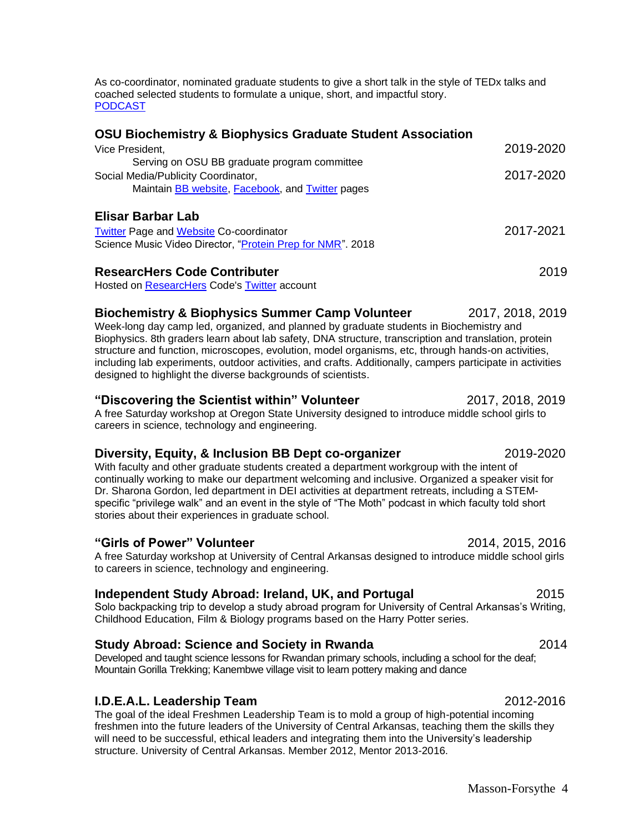As co-coordinator, nominated graduate students to give a short talk in the style of TEDx talks and coached selected students to formulate a unique, short, and impactful story. [PODCAST](https://podcasts.apple.com/us/podcast/gradx-2019/id1337404264?i=1000431061786)

### **OSU Biochemistry & Biophysics Graduate Student Association**

| Vice President,                                                                                                                          | 2019-2020 |
|------------------------------------------------------------------------------------------------------------------------------------------|-----------|
| Serving on OSU BB graduate program committee<br>Social Media/Publicity Coordinator,<br>Maintain BB website, Facebook, and Twitter pages  | 2017-2020 |
| <b>Elisar Barbar Lab</b><br><b>Twitter Page and Website Co-coordinator</b><br>Science Music Video Director, "Protein Prep for NMR". 2018 | 2017-2021 |
| <b>ResearcHers Code Contributer</b>                                                                                                      | 2019      |

Hosted on [ResearcHers](https://www.researcherscode.com/twitter-contributors) Code's [Twitter](https://twitter.com/ResearcHersCode) account

#### **Biochemistry & Biophysics Summer Camp Volunteer** 2017, 2018, 2019

Week-long day camp led, organized, and planned by graduate students in Biochemistry and Biophysics. 8th graders learn about lab safety, DNA structure, transcription and translation, protein structure and function, microscopes, evolution, model organisms, etc, through hands-on activities, including lab experiments, outdoor activities, and crafts. Additionally, campers participate in activities designed to highlight the diverse backgrounds of scientists.

#### **"Discovering the Scientist within" Volunteer** 2017, 2018, 2019

A free Saturday workshop at Oregon State University designed to introduce middle school girls to careers in science, technology and engineering.

### **Diversity, Equity, & Inclusion BB Dept co-organizer** 2019-2020

With faculty and other graduate students created a department workgroup with the intent of continually working to make our department welcoming and inclusive. Organized a speaker visit for Dr. Sharona Gordon, led department in DEI activities at department retreats, including a STEMspecific "privilege walk" and an event in the style of "The Moth" podcast in which faculty told short stories about their experiences in graduate school.

#### **"Girls of Power" Volunteer** 2014, 2015, 2016

A free Saturday workshop at University of Central Arkansas designed to introduce middle school girls to careers in science, technology and engineering.

### **Independent Study Abroad: Ireland, UK, and Portugal** 2015

Solo backpacking trip to develop a study abroad program for University of Central Arkansas's Writing, Childhood Education, Film & Biology programs based on the Harry Potter series.

### **Study Abroad: Science and Society in Rwanda** 2014

Developed and taught science lessons for Rwandan primary schools, including a school for the deaf; Mountain Gorilla Trekking; Kanembwe village visit to learn pottery making and dance

### **I.D.E.A.L. Leadership Team** 2012-2016

The goal of the ideal Freshmen Leadership Team is to mold a group of high-potential incoming freshmen into the future leaders of the University of Central Arkansas, teaching them the skills they will need to be successful, ethical leaders and integrating them into the University's leadership structure. University of Central Arkansas. Member 2012, Mentor 2013-2016.

Masson-Forsythe 4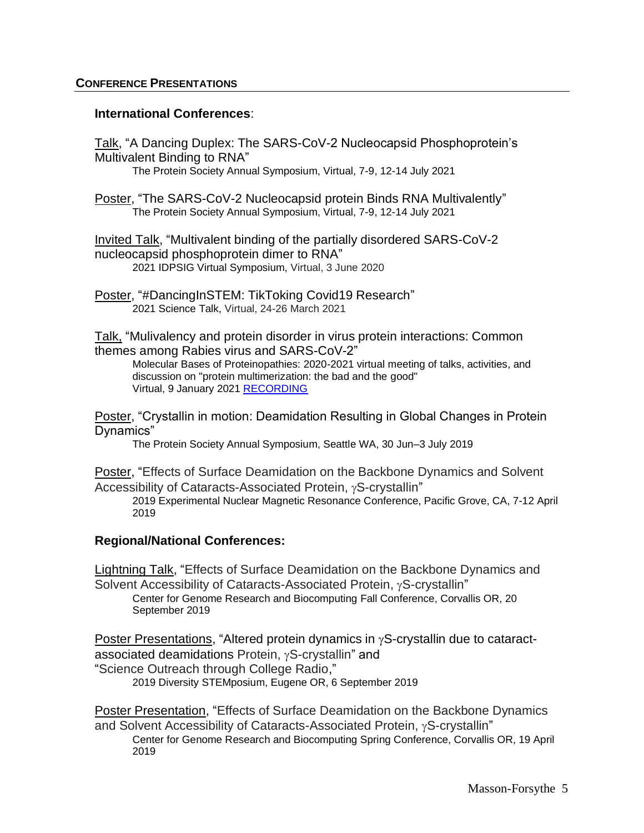#### **International Conferences**:

Talk, "A Dancing Duplex: The SARS-CoV-2 Nucleocapsid Phosphoprotein's Multivalent Binding to RNA" The Protein Society Annual Symposium, Virtual, 7-9, 12-14 July 2021

Poster, "The SARS-CoV-2 Nucleocapsid protein Binds RNA Multivalently" The Protein Society Annual Symposium, Virtual, 7-9, 12-14 July 2021

Invited Talk, "Multivalent binding of the partially disordered SARS-CoV-2 nucleocapsid phosphoprotein dimer to RNA" 2021 IDPSIG Virtual Symposium, Virtual, 3 June 2020

Poster, "#DancingInSTEM: TikToking Covid19 Research" 2021 Science Talk, Virtual, 24-26 March 2021

Talk, "Mulivalency and protein disorder in virus protein interactions: Common themes among Rabies virus and SARS-CoV-2"

Molecular Bases of Proteinopathies: 2020-2021 virtual meeting of talks, activities, and discussion on "protein multimerization: the bad and the good" Virtual, 9 January 2021 [RECORDING](https://youtu.be/PNjVld5YoMg)

Poster, "Crystallin in motion: Deamidation Resulting in Global Changes in Protein Dynamics"

The Protein Society Annual Symposium, Seattle WA, 30 Jun–3 July 2019

Poster, "Effects of Surface Deamidation on the Backbone Dynamics and Solvent Accessibility of Cataracts-Associated Protein,  $\gamma$ S-crystallin"

2019 Experimental Nuclear Magnetic Resonance Conference, Pacific Grove, CA, 7-12 April 2019

### **Regional/National Conferences:**

Lightning Talk, "Effects of Surface Deamidation on the Backbone Dynamics and Solvent Accessibility of Cataracts-Associated Protein,  $\gamma$ S-crystallin"

[Center for Genome Research and Biocomputing](https://cgrb.oregonstate.edu/) Fall Conference, Corvallis OR, 20 September 2019

Poster Presentations, "Altered protein dynamics in  $\gamma$ S-crystallin due to cataractassociated deamidations Protein,  $\gamma$ S-crystallin" and "Science Outreach through College Radio,"

2019 Diversity STEMposium, Eugene OR, 6 September 2019

Poster Presentation, "Effects of Surface Deamidation on the Backbone Dynamics and Solvent Accessibility of Cataracts-Associated Protein,  $\gamma$ S-crystallin"

[Center for Genome Research and Biocomputing](https://cgrb.oregonstate.edu/) Spring Conference, Corvallis OR, 19 April 2019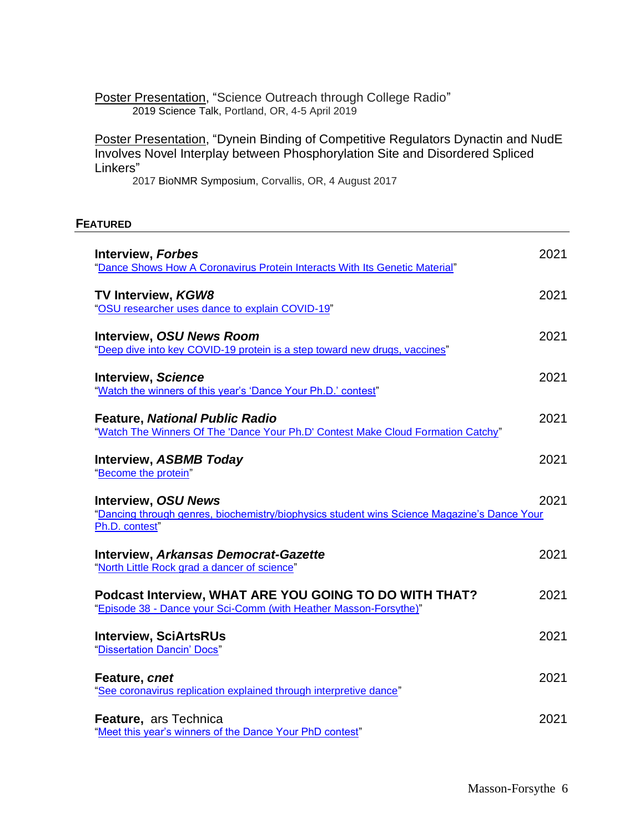Poster Presentation, "Science Outreach through College Radio" 2019 Science Talk, Portland, OR, 4-5 April 2019

Poster Presentation, "Dynein Binding of Competitive Regulators Dynactin and NudE Involves Novel Interplay between Phosphorylation Site and Disordered Spliced Linkers"

2017 BioNMR Symposium, Corvallis, OR, 4 August 2017

#### **FEATURED**

| <b>Interview, Forbes</b><br>"Dance Shows How A Coronavirus Protein Interacts With Its Genetic Material"                                     | 2021 |
|---------------------------------------------------------------------------------------------------------------------------------------------|------|
| <b>TV Interview, KGW8</b><br>"OSU researcher uses dance to explain COVID-19"                                                                | 2021 |
| <b>Interview, OSU News Room</b><br>"Deep dive into key COVID-19 protein is a step toward new drugs, vaccines"                               | 2021 |
| <b>Interview, Science</b><br>"Watch the winners of this year's 'Dance Your Ph.D.' contest"                                                  | 2021 |
| <b>Feature, National Public Radio</b><br>"Watch The Winners Of The 'Dance Your Ph.D' Contest Make Cloud Formation Catchy"                   | 2021 |
| <b>Interview, ASBMB Today</b><br>"Become the protein"                                                                                       | 2021 |
| <b>Interview, OSU News</b><br>"Dancing through genres, biochemistry/biophysics student wins Science Magazine's Dance Your<br>Ph.D. contest" | 2021 |
| <b>Interview, Arkansas Democrat-Gazette</b><br>"North Little Rock grad a dancer of science"                                                 | 2021 |
| Podcast Interview, WHAT ARE YOU GOING TO DO WITH THAT?<br>"Episode 38 - Dance your Sci-Comm (with Heather Masson-Forsythe)"                 | 2021 |
| <b>Interview, SciArtsRUs</b><br>"Dissertation Dancin' Docs"                                                                                 | 2021 |
| Feature, cnet<br>"See coronavirus replication explained through interpretive dance"                                                         | 2021 |
| Feature, ars Technica<br>"Meet this year's winners of the Dance Your PhD contest"                                                           | 2021 |